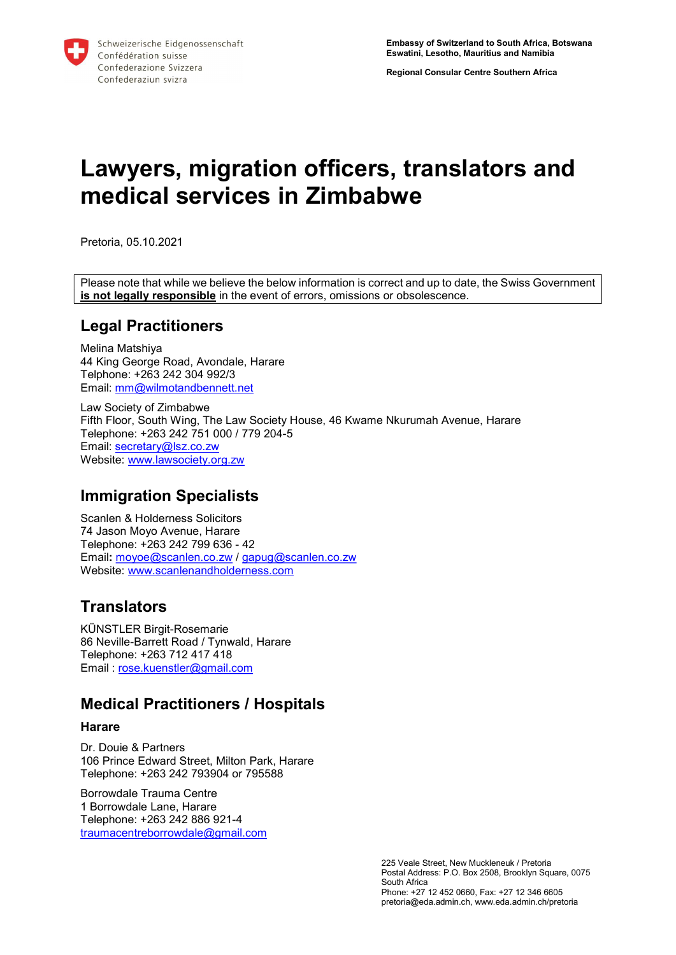Regional Consular Centre Southern Africa

# Lawyers, migration officers, translators and medical services in Zimbabwe

Pretoria, 05.10.2021

Please note that while we believe the below information is correct and up to date, the Swiss Government is not legally responsible in the event of errors, omissions or obsolescence.

### Legal Practitioners

Melina Matshiya 44 King George Road, Avondale, Harare Telphone: +263 242 304 992/3 Email: mm@wilmotandbennett.net

Law Society of Zimbabwe Fifth Floor, South Wing, The Law Society House, 46 Kwame Nkurumah Avenue, Harare Telephone: +263 242 751 000 / 779 204-5 Email: secretary@lsz.co.zw Website: www.lawsociety.org.zw

# Immigration Specialists

Scanlen & Holderness Solicitors 74 Jason Moyo Avenue, Harare Telephone: +263 242 799 636 - 42 Email: moyoe@scanlen.co.zw / gapug@scanlen.co.zw Website: www.scanlenandholderness.com

# **Translators**

KÜNSTLER Birgit-Rosemarie 86 Neville-Barrett Road / Tynwald, Harare Telephone: +263 712 417 418 Email : rose.kuenstler@gmail.com

# Medical Practitioners / Hospitals

### **Harare**

Dr. Douie & Partners 106 Prince Edward Street, Milton Park, Harare Telephone: +263 242 793904 or 795588

Borrowdale Trauma Centre 1 Borrowdale Lane, Harare Telephone: +263 242 886 921-4 traumacentreborrowdale@gmail.com